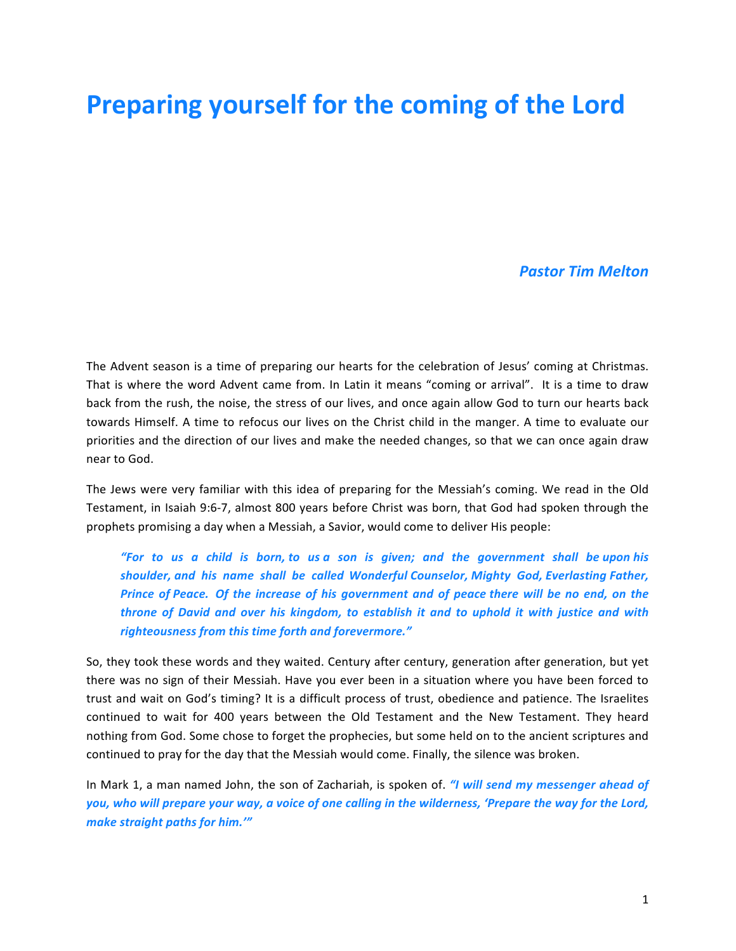## **Preparing yourself for the coming of the Lord**

## *Pastor Tim Melton*

The Advent season is a time of preparing our hearts for the celebration of Jesus' coming at Christmas. That is where the word Advent came from. In Latin it means "coming or arrival". It is a time to draw back from the rush, the noise, the stress of our lives, and once again allow God to turn our hearts back towards Himself. A time to refocus our lives on the Christ child in the manger. A time to evaluate our priorities and the direction of our lives and make the needed changes, so that we can once again draw near to God.

The Jews were very familiar with this idea of preparing for the Messiah's coming. We read in the Old Testament, in Isaiah 9:6-7, almost 800 years before Christ was born, that God had spoken through the prophets promising a day when a Messiah, a Savior, would come to deliver His people:

*"For* to us a child is born, to us a son is given; and the government shall be upon his *shoulder, and his name shall be called Wonderful Counselor, Mighty God, Everlasting Father, Prince* of *Peace.* Of the increase of his government and of peace there will be no end, on the *throne* of David and over his kingdom, to establish it and to uphold it with justice and with *righteousness from this time forth and forevermore."*

So, they took these words and they waited. Century after century, generation after generation, but yet there was no sign of their Messiah. Have you ever been in a situation where you have been forced to trust and wait on God's timing? It is a difficult process of trust, obedience and patience. The Israelites continued to wait for 400 years between the Old Testament and the New Testament. They heard nothing from God. Some chose to forget the prophecies, but some held on to the ancient scriptures and continued to pray for the day that the Messiah would come. Finally, the silence was broken.

In Mark 1, a man named John, the son of Zachariah, is spoken of. *"I will send my messenger ahead of* you, who will prepare your way, a voice of one calling in the wilderness, 'Prepare the way for the Lord, *make straight paths for him.'"*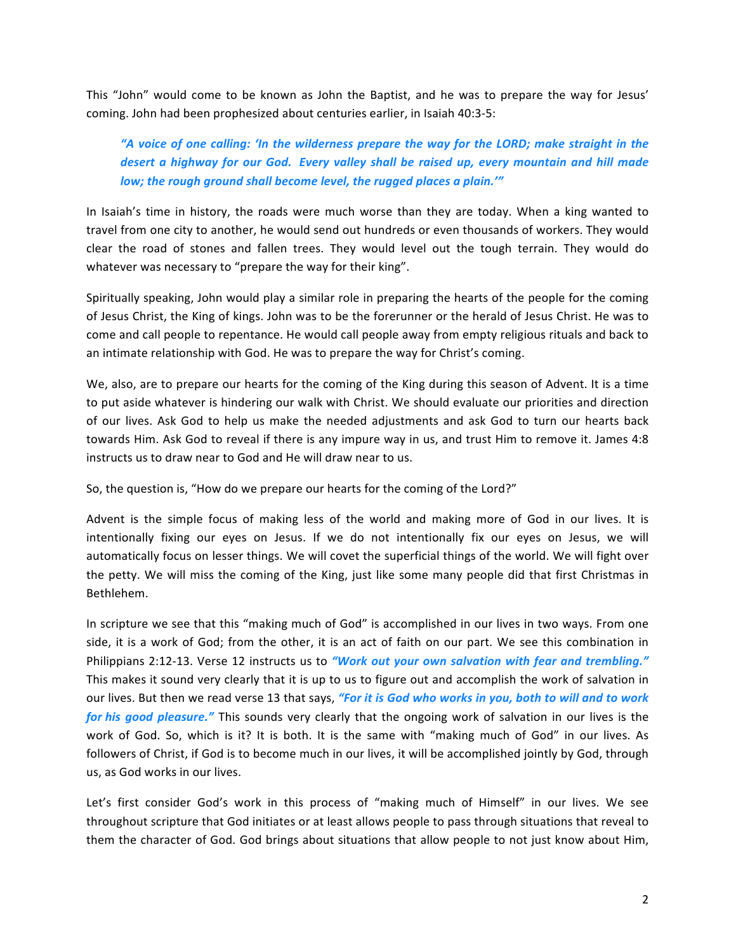This "John" would come to be known as John the Baptist, and he was to prepare the way for Jesus' coming. John had been prophesized about centuries earlier, in Isaiah 40:3-5:

"A voice of one calling: 'In the wilderness prepare the way for the LORD; make straight in the *desert a highway for our God. Every valley shall be raised up, every mountain and hill made low;* the rough ground shall become level, the rugged places a plain.'"

In Isaiah's time in history, the roads were much worse than they are today. When a king wanted to travel from one city to another, he would send out hundreds or even thousands of workers. They would clear the road of stones and fallen trees. They would level out the tough terrain. They would do whatever was necessary to "prepare the way for their king".

Spiritually speaking, John would play a similar role in preparing the hearts of the people for the coming of Jesus Christ, the King of kings. John was to be the forerunner or the herald of Jesus Christ. He was to come and call people to repentance. He would call people away from empty religious rituals and back to an intimate relationship with God. He was to prepare the way for Christ's coming.

We, also, are to prepare our hearts for the coming of the King during this season of Advent. It is a time to put aside whatever is hindering our walk with Christ. We should evaluate our priorities and direction of our lives. Ask God to help us make the needed adjustments and ask God to turn our hearts back towards Him. Ask God to reveal if there is any impure way in us, and trust Him to remove it. James 4:8 instructs us to draw near to God and He will draw near to us.

So, the question is, "How do we prepare our hearts for the coming of the Lord?"

Advent is the simple focus of making less of the world and making more of God in our lives. It is intentionally fixing our eyes on Jesus. If we do not intentionally fix our eyes on Jesus, we will automatically focus on lesser things. We will covet the superficial things of the world. We will fight over the petty. We will miss the coming of the King, just like some many people did that first Christmas in Bethlehem.

In scripture we see that this "making much of God" is accomplished in our lives in two ways. From one side, it is a work of God; from the other, it is an act of faith on our part. We see this combination in Philippians 2:12-13. Verse 12 instructs us to "Work out your own salvation with fear and trembling." This makes it sound very clearly that it is up to us to figure out and accomplish the work of salvation in our lives. But then we read verse 13 that says, "For it is God who works in you, both to will and to work *for his good pleasure."* This sounds very clearly that the ongoing work of salvation in our lives is the work of God. So, which is it? It is both. It is the same with "making much of God" in our lives. As followers of Christ, if God is to become much in our lives, it will be accomplished jointly by God, through us, as God works in our lives.

Let's first consider God's work in this process of "making much of Himself" in our lives. We see throughout scripture that God initiates or at least allows people to pass through situations that reveal to them the character of God. God brings about situations that allow people to not just know about Him,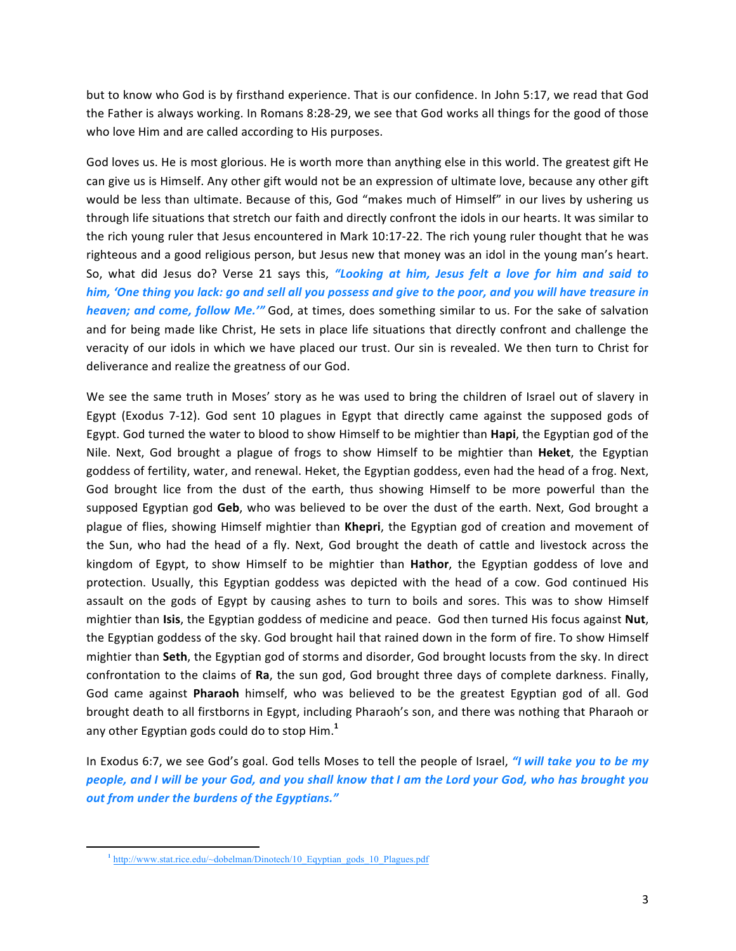but to know who God is by firsthand experience. That is our confidence. In John 5:17, we read that God the Father is always working. In Romans 8:28-29, we see that God works all things for the good of those who love Him and are called according to His purposes.

God loves us. He is most glorious. He is worth more than anything else in this world. The greatest gift He can give us is Himself. Any other gift would not be an expression of ultimate love, because any other gift would be less than ultimate. Because of this, God "makes much of Himself" in our lives by ushering us through life situations that stretch our faith and directly confront the idols in our hearts. It was similar to the rich young ruler that Jesus encountered in Mark 10:17-22. The rich young ruler thought that he was righteous and a good religious person, but Jesus new that money was an idol in the young man's heart. So, what did Jesus do? Verse 21 says this, "Looking at him, Jesus felt a love for him and said to *him, 'One thing you lack: go and sell all you possess and give to the poor, and you will have treasure in heaven;* and come, follow Me." God, at times, does something similar to us. For the sake of salvation and for being made like Christ, He sets in place life situations that directly confront and challenge the veracity of our idols in which we have placed our trust. Our sin is revealed. We then turn to Christ for deliverance and realize the greatness of our God.

We see the same truth in Moses' story as he was used to bring the children of Israel out of slavery in Egypt (Exodus 7-12). God sent 10 plagues in Egypt that directly came against the supposed gods of Egypt. God turned the water to blood to show Himself to be mightier than **Hapi**, the Egyptian god of the Nile. Next, God brought a plague of frogs to show Himself to be mightier than **Heket**, the Egyptian goddess of fertility, water, and renewal. Heket, the Egyptian goddess, even had the head of a frog. Next, God brought lice from the dust of the earth, thus showing Himself to be more powerful than the supposed Egyptian god Geb, who was believed to be over the dust of the earth. Next, God brought a plague of flies, showing Himself mightier than Khepri, the Egyptian god of creation and movement of the Sun, who had the head of a fly. Next, God brought the death of cattle and livestock across the kingdom of Egypt, to show Himself to be mightier than **Hathor**, the Egyptian goddess of love and protection. Usually, this Egyptian goddess was depicted with the head of a cow. God continued His assault on the gods of Egypt by causing ashes to turn to boils and sores. This was to show Himself mightier than **Isis**, the Egyptian goddess of medicine and peace. God then turned His focus against **Nut**, the Egyptian goddess of the sky. God brought hail that rained down in the form of fire. To show Himself mightier than **Seth**, the Egyptian god of storms and disorder, God brought locusts from the sky. In direct confrontation to the claims of **Ra**, the sun god, God brought three days of complete darkness. Finally, God came against **Pharaoh** himself, who was believed to be the greatest Egyptian god of all. God brought death to all firstborns in Egypt, including Pharaoh's son, and there was nothing that Pharaoh or any other Egyptian gods could do to stop Him.<sup>1</sup>

In Exodus 6:7, we see God's goal. God tells Moses to tell the people of Israel, *"I will take you to be my people, and I will be your God, and you shall know that I am the Lord your God, who has brought you out from under the burdens of the Egyptians."*

<u> 1989 - Jan Samuel Barbara, margaret e</u>

**<sup>1</sup>** http://www.stat.rice.edu/~dobelman/Dinotech/10\_Eqyptian\_gods\_10\_Plagues.pdf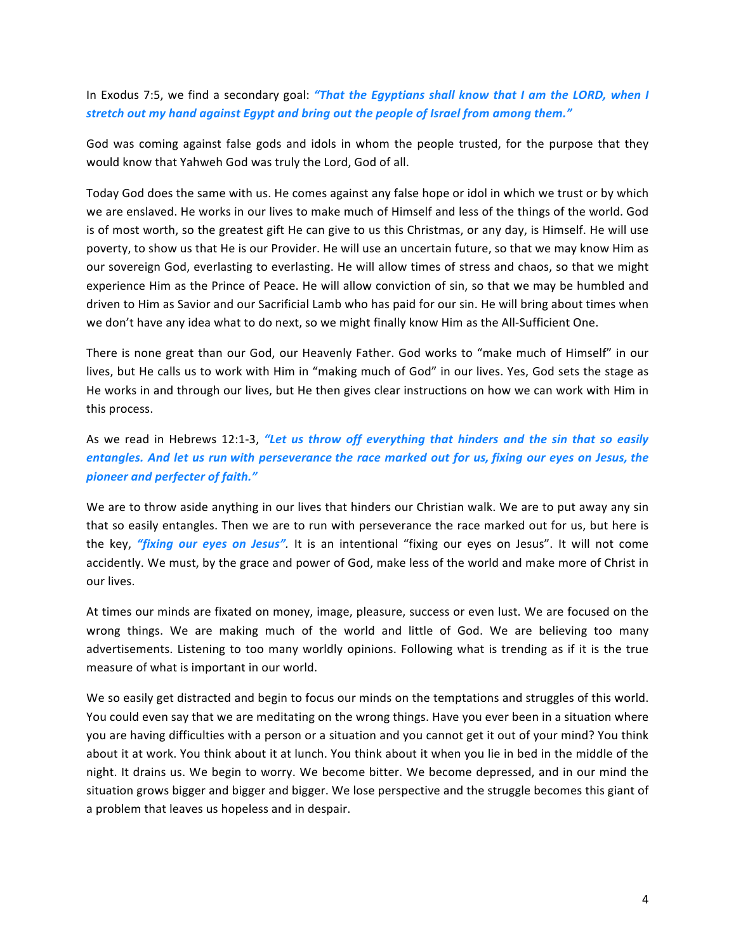In Exodus 7:5, we find a secondary goal: "That the Egyptians shall know that I am the LORD, when I stretch out my hand against Egypt and bring out the people of Israel from among them."

God was coming against false gods and idols in whom the people trusted, for the purpose that they would know that Yahweh God was truly the Lord, God of all.

Today God does the same with us. He comes against any false hope or idol in which we trust or by which we are enslaved. He works in our lives to make much of Himself and less of the things of the world. God is of most worth, so the greatest gift He can give to us this Christmas, or any day, is Himself. He will use poverty, to show us that He is our Provider. He will use an uncertain future, so that we may know Him as our sovereign God, everlasting to everlasting. He will allow times of stress and chaos, so that we might experience Him as the Prince of Peace. He will allow conviction of sin, so that we may be humbled and driven to Him as Savior and our Sacrificial Lamb who has paid for our sin. He will bring about times when we don't have any idea what to do next, so we might finally know Him as the All-Sufficient One.

There is none great than our God, our Heavenly Father. God works to "make much of Himself" in our lives, but He calls us to work with Him in "making much of God" in our lives. Yes, God sets the stage as He works in and through our lives, but He then gives clear instructions on how we can work with Him in this process.

As we read in Hebrews 12:1-3, "Let us throw off everything that hinders and the sin that so easily *entangles. And let us run with perseverance the race marked out for us, fixing our eyes on Jesus, the pioneer and perfecter of faith."*

We are to throw aside anything in our lives that hinders our Christian walk. We are to put away any sin that so easily entangles. Then we are to run with perseverance the race marked out for us, but here is the key, "fixing our eyes on Jesus". It is an intentional "fixing our eyes on Jesus". It will not come accidently. We must, by the grace and power of God, make less of the world and make more of Christ in our lives.

At times our minds are fixated on money, image, pleasure, success or even lust. We are focused on the wrong things. We are making much of the world and little of God. We are believing too many advertisements. Listening to too many worldly opinions. Following what is trending as if it is the true measure of what is important in our world.

We so easily get distracted and begin to focus our minds on the temptations and struggles of this world. You could even say that we are meditating on the wrong things. Have you ever been in a situation where you are having difficulties with a person or a situation and you cannot get it out of your mind? You think about it at work. You think about it at lunch. You think about it when you lie in bed in the middle of the night. It drains us. We begin to worry. We become bitter. We become depressed, and in our mind the situation grows bigger and bigger and bigger. We lose perspective and the struggle becomes this giant of a problem that leaves us hopeless and in despair.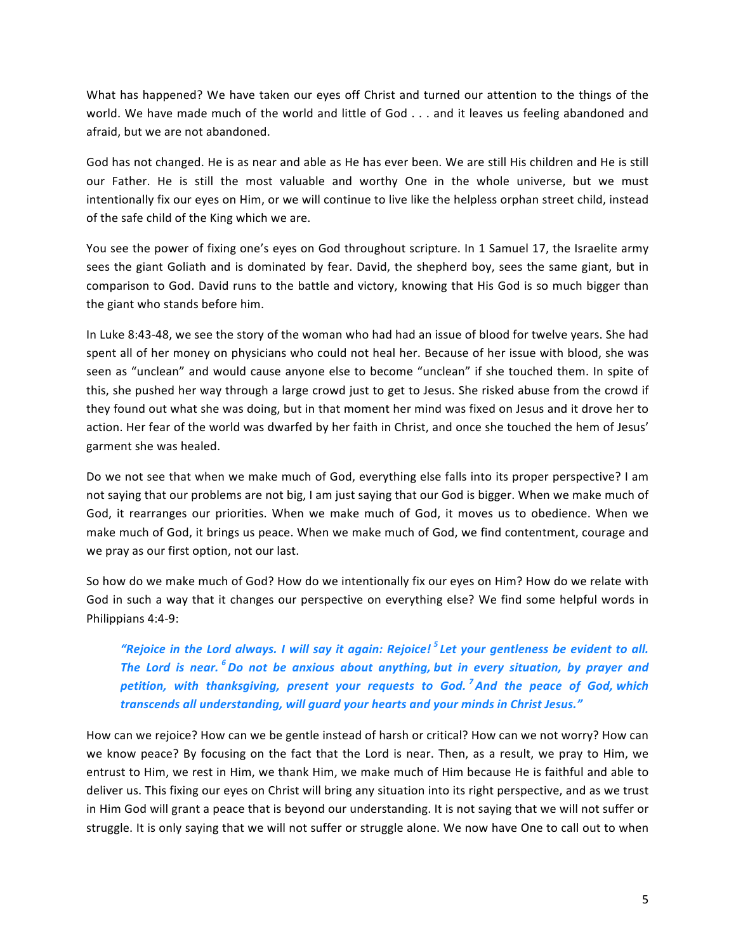What has happened? We have taken our eyes off Christ and turned our attention to the things of the world. We have made much of the world and little of God . . . and it leaves us feeling abandoned and afraid, but we are not abandoned.

God has not changed. He is as near and able as He has ever been. We are still His children and He is still our Father. He is still the most valuable and worthy One in the whole universe, but we must intentionally fix our eyes on Him, or we will continue to live like the helpless orphan street child, instead of the safe child of the King which we are.

You see the power of fixing one's eyes on God throughout scripture. In 1 Samuel 17, the Israelite army sees the giant Goliath and is dominated by fear. David, the shepherd boy, sees the same giant, but in comparison to God. David runs to the battle and victory, knowing that His God is so much bigger than the giant who stands before him.

In Luke 8:43-48, we see the story of the woman who had had an issue of blood for twelve years. She had spent all of her money on physicians who could not heal her. Because of her issue with blood, she was seen as "unclean" and would cause anyone else to become "unclean" if she touched them. In spite of this, she pushed her way through a large crowd just to get to Jesus. She risked abuse from the crowd if they found out what she was doing, but in that moment her mind was fixed on Jesus and it drove her to action. Her fear of the world was dwarfed by her faith in Christ, and once she touched the hem of Jesus' garment she was healed.

Do we not see that when we make much of God, everything else falls into its proper perspective? I am not saying that our problems are not big, I am just saying that our God is bigger. When we make much of God, it rearranges our priorities. When we make much of God, it moves us to obedience. When we make much of God, it brings us peace. When we make much of God, we find contentment, courage and we pray as our first option, not our last.

So how do we make much of God? How do we intentionally fix our eyes on Him? How do we relate with God in such a way that it changes our perspective on everything else? We find some helpful words in Philippians 4:4-9:

*"Rejoice in the Lord always. I will say it again: Rejoice!* <sup>5</sup> Let your gentleness be evident to all. *The Lord is near.* <sup>6</sup>Do not be anxious about anything, but in every situation, by prayer and *petition, with thanksgiving, present your requests to God.<sup>7</sup> And the peace of God, which transcends all understanding, will guard your hearts and your minds in Christ Jesus."*

How can we rejoice? How can we be gentle instead of harsh or critical? How can we not worry? How can we know peace? By focusing on the fact that the Lord is near. Then, as a result, we pray to Him, we entrust to Him, we rest in Him, we thank Him, we make much of Him because He is faithful and able to deliver us. This fixing our eyes on Christ will bring any situation into its right perspective, and as we trust in Him God will grant a peace that is beyond our understanding. It is not saying that we will not suffer or struggle. It is only saying that we will not suffer or struggle alone. We now have One to call out to when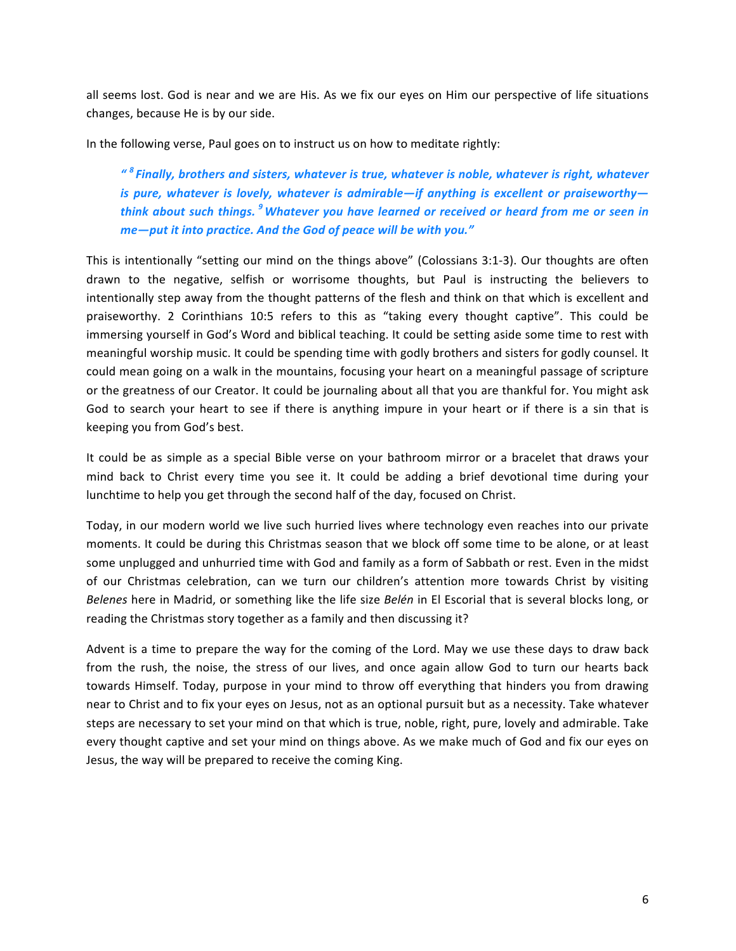all seems lost. God is near and we are His. As we fix our eyes on Him our perspective of life situations changes, because He is by our side.

In the following verse, Paul goes on to instruct us on how to meditate rightly:

*" <sup>8</sup> Finally, brothers and sisters, whatever is true, whatever is noble, whatever is right, whatever is* pure, whatever is lovely, whatever is admirable—if anything is excellent or praiseworthy *think about such things.* <sup>9</sup>Whatever you have learned or received or heard from me or seen in me-put it into practice. And the God of peace will be with you."

This is intentionally "setting our mind on the things above" (Colossians 3:1-3). Our thoughts are often drawn to the negative, selfish or worrisome thoughts, but Paul is instructing the believers to intentionally step away from the thought patterns of the flesh and think on that which is excellent and praiseworthy. 2 Corinthians 10:5 refers to this as "taking every thought captive". This could be immersing yourself in God's Word and biblical teaching. It could be setting aside some time to rest with meaningful worship music. It could be spending time with godly brothers and sisters for godly counsel. It could mean going on a walk in the mountains, focusing your heart on a meaningful passage of scripture or the greatness of our Creator. It could be journaling about all that you are thankful for. You might ask God to search your heart to see if there is anything impure in your heart or if there is a sin that is keeping you from God's best.

It could be as simple as a special Bible verse on your bathroom mirror or a bracelet that draws your mind back to Christ every time you see it. It could be adding a brief devotional time during your lunchtime to help you get through the second half of the day, focused on Christ.

Today, in our modern world we live such hurried lives where technology even reaches into our private moments. It could be during this Christmas season that we block off some time to be alone, or at least some unplugged and unhurried time with God and family as a form of Sabbath or rest. Even in the midst of our Christmas celebration, can we turn our children's attention more towards Christ by visiting *Belenes* here in Madrid, or something like the life size *Belén* in El Escorial that is several blocks long, or reading the Christmas story together as a family and then discussing it?

Advent is a time to prepare the way for the coming of the Lord. May we use these days to draw back from the rush, the noise, the stress of our lives, and once again allow God to turn our hearts back towards Himself. Today, purpose in your mind to throw off everything that hinders you from drawing near to Christ and to fix your eyes on Jesus, not as an optional pursuit but as a necessity. Take whatever steps are necessary to set your mind on that which is true, noble, right, pure, lovely and admirable. Take every thought captive and set your mind on things above. As we make much of God and fix our eves on Jesus, the way will be prepared to receive the coming King.